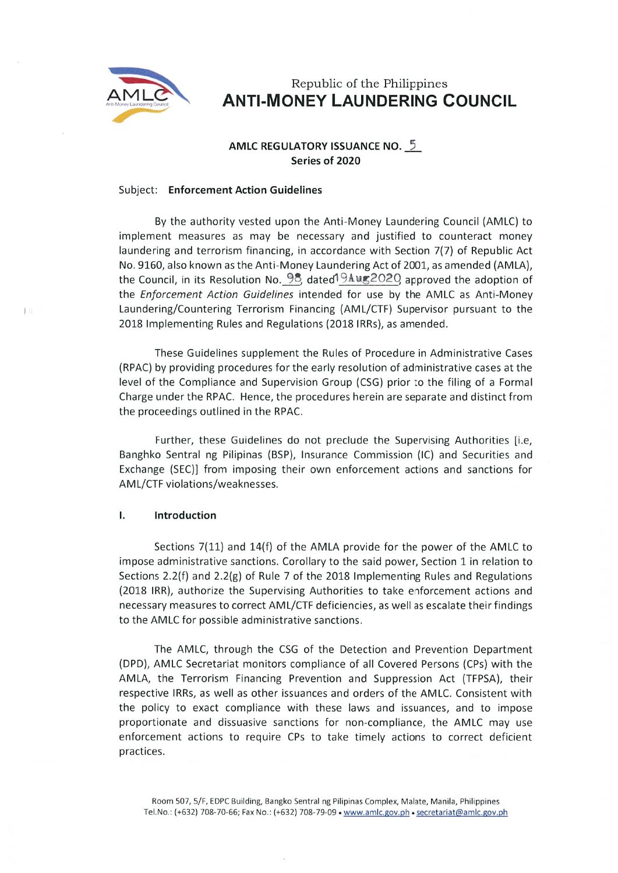

 $10$ 

# Republic of the Philippines ANTI. MONEY LAUNDERING COUNCIL

# AMLC REGULATORY ISSUANCE No. 5 Series of 2020

#### Subject: Enforcement Action Guidelines

By the authority vested upon the Anti-Money Laundering Council (AMLC) to implement measures as may be necessary and justified to counteract money laundering and terrorism financing, in accordance with Section 7(7) of Republic Act No. 9160, also known as the Anti-Money Laundering Act of 2001, as amended (AMLA), the Council, in its Resolution No.  $95$ , dated  $94$ ug2020, approved the adoption of the Enforcement Action Guidefines intended for use by the AMLC as Anti-Money Laundering/Countering Terrorism Financing (AML/CTF) Supervisor pursuant to the 2018 Implementing Rules and Regulations (2018 IRRs), as amended.

These Guidelines supplement the Rules of Procedure in Administrative Cases (RPAC) by providing procedures for the early resolution of administrative cases at the level of the Compliance and Supervision Group (CSG) prior to the filing of a Formal Charge under the RPAC. Hence, the procedures herein are separate and distinct from the proceedings outlined in the RPAC.

Further, these Guidelines do not preclude the Supervising Authorities [i.e, Banghko Sentral ng Pilipinas (BSP), Insurance Commission (IC) and Securities and EXchange (SEC)l from imposing their own enforcement actions and sanctions for AML/CTF violations/weaknesses.

#### Ī. Introduction

Sections 7(11) and 14(f) of the AMLA provide for the power of the AMLC to impose administrative sanctions. Corollary to the said power, Section I in relation to Sections 2.2(f) and 2.2(g) of Rule 7 of the 2018 Implementing Rules and Regulations (2018 IRR), authorize the Supervising Authorities to take enforcement actions and necessary measures to correct AML/CTF deficiencies, as well as escalate their findings to the AMLC for possible administrative sanctions.

The AMLC, through the CSG of the Detection and Prevention Department (DPD), AMLC Secretariat monitors compliance of all Covered Persons (CPS) with the AMLA, the Terrorism Financing Prevention and Suppression Act (TFPSA), their respective IRRs, as well as other issuances and orders of the AMLC. Consistent with the policy to exact compliance with these laws and issuances, and to impose proportionate and dissuasive sanctions for non-compliance, the AMLC may use enforcement actions to require CPS to take timely actions to correct deficient practices.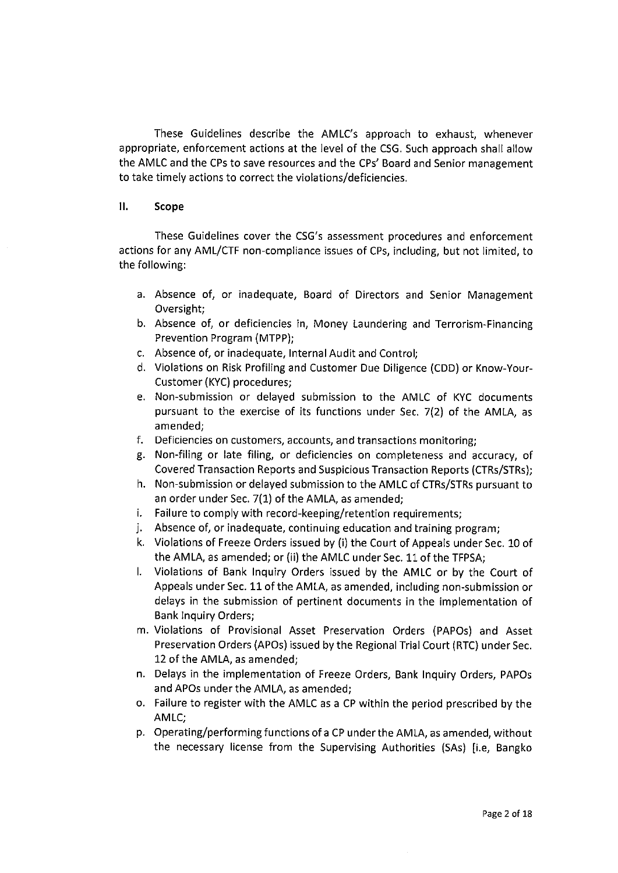These Guidelines describe the AMLC's approach to exhaust, whenever appropriate, enforcement actions at the level of the CSG. Such approach shall allow the AMLC and the CPS to save resources and the CPS' Board and Senior management to take timely actions to correct the violations/deficiencies.

#### 11. Scope

These Guidelines cover the CSG's assessment procedures and enforcement actions for any AML/CTF non-compliance issues of CPs, including, but not limited, to the following:

- a. Absence of, or inadequate, Board of Directors and Senior Management Oversight;
- b. Absence of, or deficiencies in, Money Laundering and Terrorism~Financing Prevention Program (MTPP);
- c. Absence of, or inadequate, Internal Audit and Control;
- d. Violations on Risk Profiling and Customer Due Diligence (CDD) or Know-Your Customer (KYC) procedures;
- e. Non-submission or delayed submission to the AMLC of KYC documents pursuant to the exercise of its functions under Sec. 7(2) of the AMLA, as amended;
- f. Deficiencies on customers, accounts, and transactions monitoring;
- g. Non-filing or late filing, or deficiencies on completeness and accuracy, of Covered Transaction Reports and Suspicious Transaction Reports (CTRs/STRs);
- h. Non-submission or delayed submission to the AMLC of CTRs/STRs pursuant to an order under Sec.  $7(1)$  of the AMLA, as amended;
- i. Failure to comply with record-keeping/retention requirements;
- j. Absence of, or inadequate, continuing education and training program;
- k. Violations of Freeze Orders issued by (i) the Court of Appeals under Sec. 10 of the AMLA, as amended; or (ii) the AMLC under Sec. 11 of the TFPSA;
- I. Violations of Bank Inquiry Orders issued by the AMLC or by the Court of Appeals under Sec. 11 of the AMLA, as amended, including non-submission or delays in the submission of pertinent documents in the implementation of Bank Inquiry Orders;
- in, Violations of Provisional Asset Preservation Orders (PAPOs) and Asset Preservation Orders (APOs) issued by the Regional Trial Court (RTC) under Sec. 12 of the AMLA, as amended;
- n. Delays in the implementation of Freeze Orders, Bank Inquiry Orders, PAPOs and APOs under the AMLA, as amended;
- o. Failure to register with the AMLC as a CP within the period prescribed by the AMLC;
- p. Operating/performing functions of a CP under the AMLA, as amended, without the necessary license from the Supervising Authorities (SAs) [i.e. Bangko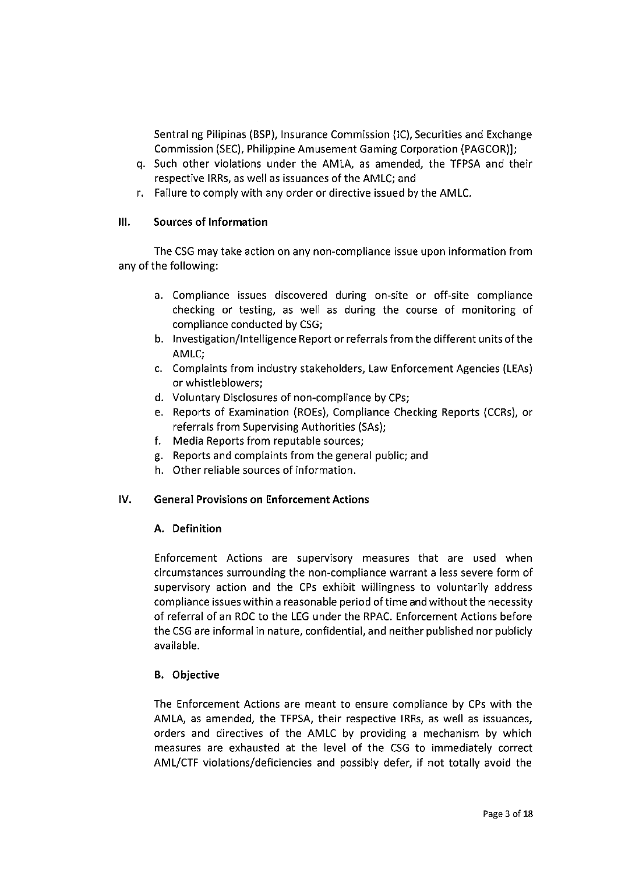Sentral ng Pilipinas (BSP), Insurance Commission (IC), Securities and Exchange Commission (SEC), Philippine Amusement Gaming Corporation (PAGCOR)];

- q. Such other violations under the AMLA, as amended, the TFPSA and their respective IRRs, as well as issuances of the AMLC; and
- r. Failure to comply with any order or directive issued by the AMLC.

#### $III.$ Sources of Information

The CSG may take action on any non-compliance issue upon information from any of the following:

- a. Compliance issues discovered during on-site or off-site compliance checking or testing, as well as during the course of monitoring of compliance conducted by CSG;
- b. Investigation/Intelligence Report or referrals from the different units of the AMLC;
- c. Complaints from industry stakeholders, Law Enforcement Agencies (LEAs) or whistleblowers;
- d. Voluntary Disclosures of non-compliance by CPS;
- e. Reports of Examination (ROEs), Compliance Checking Reports (CCRs), or referrals from Supervising Authorities (SAS);
- f. Media Reports from reputable sources;
- g. Reports and complaints from the general public; and
- h, Other reliable sources of information.

# IV. General Provisions on Enforcement Actions

# A. Definition

Enforcement Actions are supervisory measures that are used when circumstances surrounding the nori-compliance warrant a less severe form of supervisory action and the CPS exhibit willingness to voluntarily address compliance issues within a reasonable period of time and without the necessity of referral of an Roc to the LEG under the RPAC. Enforcement Actions before the CSG are informal in nature, confidential, and neither published nor publicly available.

# B. Objective

The Enforcement Actions are meant to ensure compliance by CPS with the AMLA, as amended, the TFPSA, their respective IRRs, as well as issuances, orders and directives of the AMLC by providing a mechanism by which measures are exhausted at the level of the CSG to immediately correct AML/CTF violations/deficiencies and possibly defer, if not totally avoid the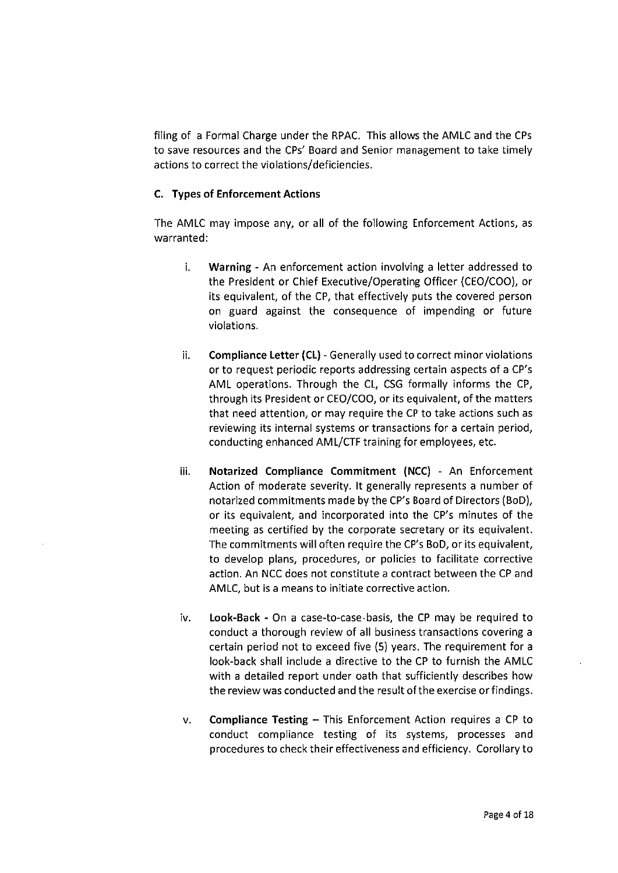filing of a Formal Charge under the RPAC. This allows the AMLC and the CPS to save resources and the CPS' Board and Senior management to take timely actions to correct the violations/deficiencies,

### C. Types of Enforcement Actions

The AMLC may impose any, or all of the following Enforcement Actions, as warranted:

- i. Warning An enforcement action involving a letter addressed to the President or Chief Executive/Operating Officer (CEO/Coo), or its equivalent, of the CP, that effectively puts the covered person on guard against the consequence of impending or future violations.
- ii. Compliance Letter (CL) Generally used to correct minor violations or to request periodic reports addressing certain aspects of a CP's AML operations. Through the CL, CSG formally informs the CP, through its President or CEO/COO, or its equivalent, of the matters that need attention, or may require the CP to take actions such as reviewing its internal systems or transactions for a certain period, conducting enhanced AML/CTF training for employees, etc,
- iii. Notarized Compliance Commitment (NCC) An Enforcement Action of moderate severity. It generally represents a number of notarized commitments made by the CP's Board of Directors (BoD), or its equivalent, and incorporated into the CP's minutes of the meeting as certified by the corporate secretary or its equivalent. The commitments will often require the CP's BOD, or its equivalent, to develop plans, procedures, or policies to facilitate corrective action. An NCC does not constitute a contract between the CP and AMLC, but is a means to initiate corrective action.
- iv. Look-Back On a case-to-case-basis, the CP may be required to conduct a thorough review of all business transactions covering a certain period not to exceed five (5) years. The requirement for a look-back shall include a directive to the CP to furnish the AMLC with a detailed report under oath that sufficiently describes how the review was conducted and the result of the exercise or findings.
- V, Compliance Testing This Enforcement Action requires a CP to conduct compliance testing of its systems, processes and procedures to check their effectiveness and efficiency. Corollary to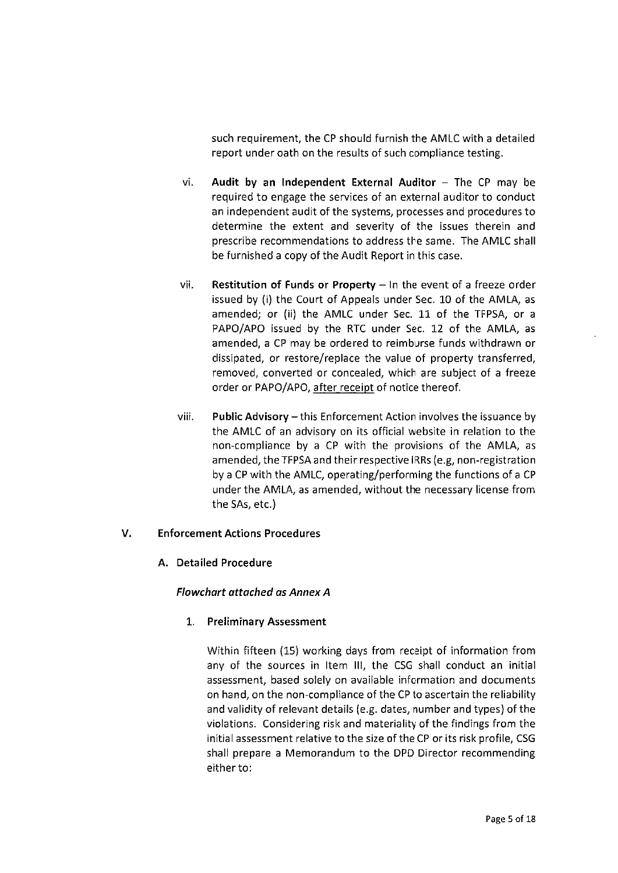such requirement, the CP should furnish the AMLC with a detailed report under oath on the results of such compliance testing.

- $vi.$  Audit by an Independent External Auditor  $-$  The CP may be required to engage the services of an external auditor to conduct an independent audit of the systems, processes and procedures to determine the extent and severity of the issues therein and prescribe recommendations to address the same. The AMLC shall be furnished a copy of the Audit Report in this case.
- vii. Restitution of Funds or Property  $-$  In the event of a freeze order issued by (1) the Court of Appeals under Sec. 10 of the AMLA, as amended; or (ii) the AMLC under Sec. 11 of the TFPSA, or a PAPO/APO issued by the RTC under Sec. 12 of the AMLA, as amended, a CP may be ordered to reimburse funds withdrawn or dissipated, or restore/replace the value of property transferred, removed, converted or concealed, which are subject of a freeze order or PAPO/APO, after receipt of notice thereof.
- viii. Public Advisory this Enforcement Action involves the issuance by the AMLC of an advisory on its official website in relation to the non-compliance by a CP with the provisions of the AMLA, as amended, the TFPSA and their respective IRRs (e. g, non-registration by a CP with the AMLC, operating/performing the functions of a CP under the AMLA, as amended, without the necessary license from the SAS, etc. )

#### v. Enforcement Actions Procedures

#### A. Detailed Procedure

#### Flowchart attached as Annex A

#### 1. Preliminary Assessment

Within fifteen (15) working days from receipt of information from any of the sources in Item III, the CSG shall conduct an initial assessment, based solely on available information and documents on hand, on the non-compliance of the CP to ascertain the reliability and validity of relevant details (e. g. dates, number and types) of the violations. Considering risk and materiality of the findings from the initial assessment relative to the size of the CP or its risk profile, CSG shall prepare a Memorandum to the DPD Director recommending either to: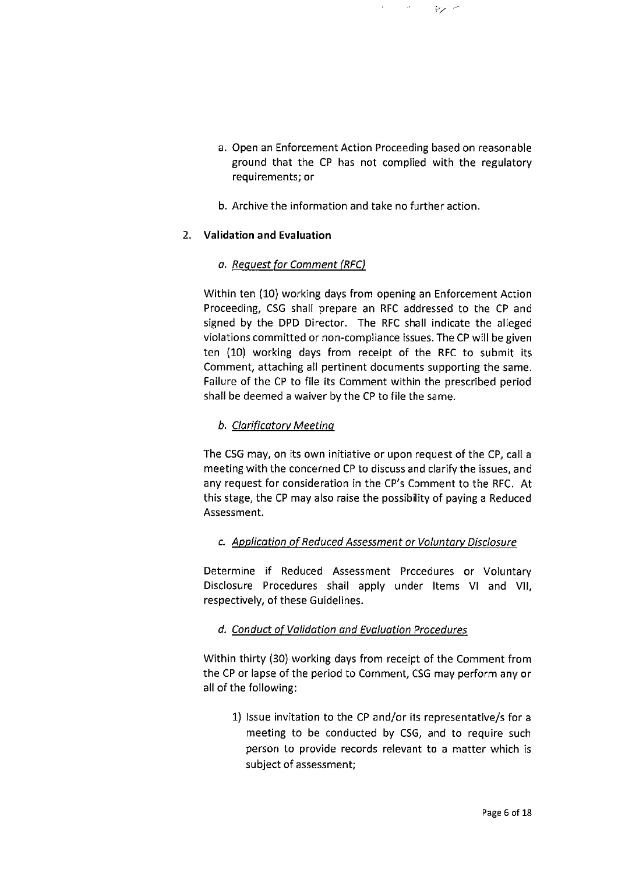a. Open an Enforcement Action Proceeding based on reasonable ground that the CP has not complied with the regulatory requirements; or

 $\gamma$  ,  $\tau$ 

b, Archive the information and take no further action.

# 2. Validation and Evaluation

# a. Request for Comment (RFC)

Within ten (10) working days from opening an Enforcement Action Proceeding, CSG shall prepare an RFC addressed to the CP and signed by the DPD Director. The RFC shall indicate the alleged violations committed or non-compliance issues. The CP will be given ten (10) working days from receipt of the RFC to submit its Comment, attaching all pertinent documents supporting the same. Failure of the CP to file its Comment within the prescribed period shall be deemed a waiver by the CP to file the same.

# b. Clarificatory Meeting

The CSG may, on its own initiative or upon request of the CP, call a meeting with the concerned CP to discuss and clarify the issues, and any request for consideration in the CP's Comment to the RFC. At this stage, the CP may also raise the possibility of paving a Reduced Assessment.

# c. Application of Reduced Assessment or Voluntary Disclosure

Determine if Reduced Assessment Procedures or Voluntary Disclosure Procedures shall apply under Items Vl and Vll, respectively, of these Guidelines.

# d. Conduct of Validation and Evaluation Procedures

Within thirty (30) working days from receipt of the Comment from the CP or lapse of the period to Comment, CSG may perform any or all of the following:

I) Issue invitation to the CP and/or its representative/s for a meeting to be conducted by CSG, and to require such person to provide records relevant to a matter which is subject of assessment;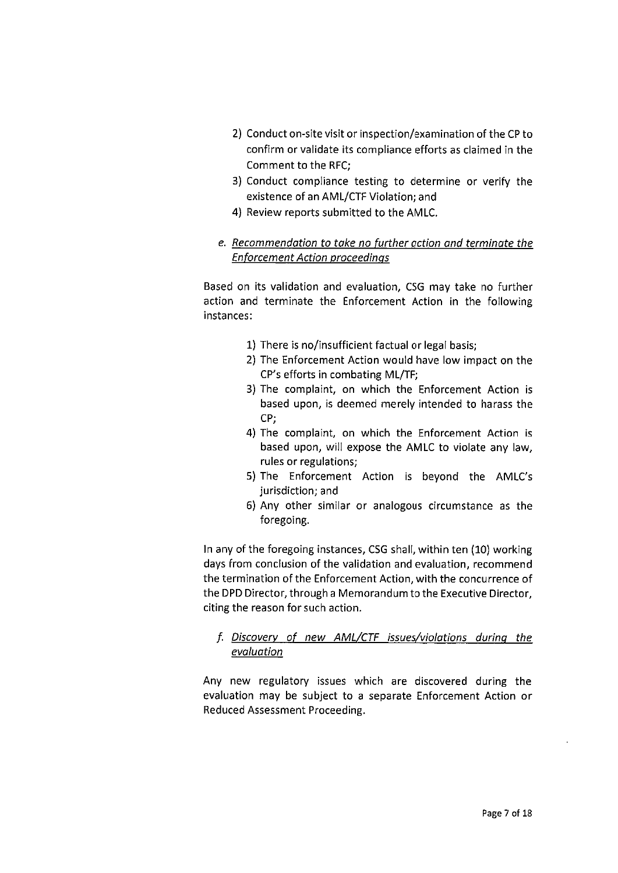- 2) Conduct on-site visit or inspection/examination of the CP to confirm or validate its compliance efforts as claimed in the Comment to the RFC;
- 3) Conduct compliance testing to determine or verify the existence of an AML/CTF Violation; and
- 4) Review reports submitted to the AMLC.

# e. Recommendation to take no further action and terminate the **Enforcement Action proceedings**

Based on its validation and evaluation, CSG may take no further action and terminate the Enforcement Action in the following instances:

- 11 There is no/insufficient factual or legal basis;
- 2) The Enforcement Action would have low impact on the CP's efforts in combating ML/TF;
- 3) The complaint, on which the Enforcement Action is based upon, is deemed merely intended to harass the CP;
- 4) The complaint, on which the Enforcement Action is based upon, will expose the AMLC to violate any law, rules or regulations;
- 5) The Enforcement Action is beyond the AMLC's jurisdiction; and
- 6) Any other similar or analogous circumstance as the foregoing.

In any of the foregoing instances, CSG shall, within ten (10) working days from conclusion of the validation and evaluation, recommend the termination of the Enforcement Action, with the concurrence of the DPD Director, through a Memorandum to the Executive Director, citing the reason for such action.

# t. <u>Discovery of new AML/CTF iss</u>ues/violations during the evaluation

Any new regulatory issues which are discovered during the evaluation may be subject to a separate Enforcement Action or Reduced Assessment Proceeding.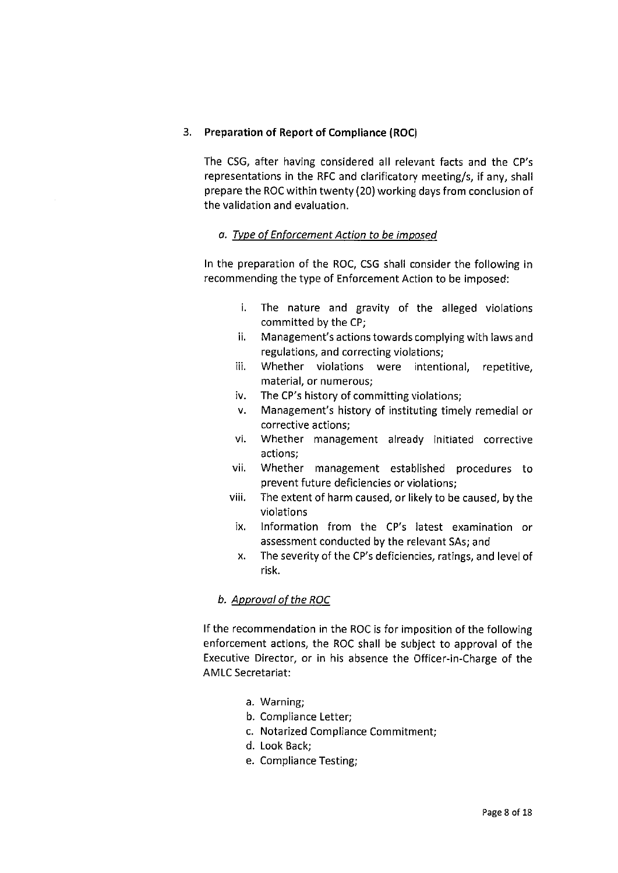### 3. Preparation of Report of Compliance (Roc)

The CSG, after having considered all relevant facts and the CP's representations in the RFC and clarificatory meeting/s, if any, shall prepare the Roc within twenty (20) working days from conclusion of the validation and evaluation.

# a. Type of Enforcement Action to be imposed

In the preparation of the Roc, CSG shall consider the following in recommending the type of Enforcement Action to be imposed:

- i. The nature and gravity of the alleged violations committed by the CP;
- Management's actions towards complying with laws and regulations, and correcting violations; 11.
- Whether violations were intentional, repetitive, material, or numerous; 111 .
- The CP's history of committing violations; IV.
- Management's history of instituting timely remedial or corrective actions; V.
- Whether management already initiated corrective actions; Vl.
- Whether management established procedures to prevent future deficiencies or violations; Vll.
- The extent of harm caused, or likely to be caused, by the violations Vlll.
	- Information from the CP's latest examination or assessment conducted by the relevant SAS; and IX.
	- The severity of the CP's deficiencies, ratings, and level of risk. X.

# b. Approval of the ROC

If the recommendation in the Roc is for imposition of the following enforcement actions, the Roc shall be subject to approval of the Executive Director, or in his absence the Officer-in-Charge of the AMLC Secretariat:

- a. Warning;
- b. Compliance Letter;
- c. Notarized Compliance Commitment;
- d, Look Back;
- e. Compliance Testing;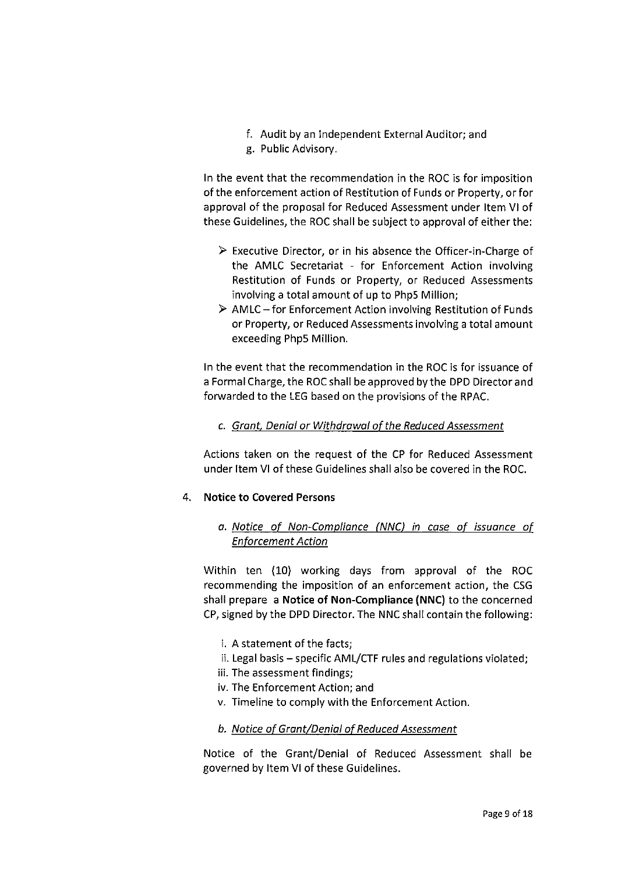- f. Audit by an Independent External Auditor; and
- g. Public Advisory.

In the event that the recommendation in the Roc is for imposition of the enforcement action of Restitution of Funds or Property, or for approval of the proposal for Reduced Assessment under Item Vl of these Guidelines, the Roc shall be subject to approval of either the:

- $\triangleright$  Executive Director, or in his absence the Officer-in-Charge of the AMLC Secretariat - for Enforcement Action involving Restitution of Funds or Property, or Reduced Assessments involving a total amount of up to Php5 Million;
- $\triangleright$  AMLC for Enforcement Action involving Restitution of Funds or Property, or Reduced Assessments involving a total amount exceeding Php5 Million.

In the event that the recommendation in the Roc is for issuance of a Formal Charge, the Roc shall be approved by the DPD Director and forwarded to the LEG based on the provisions of the RPAC.

# c. Grant, Denial or Withdrawal of the Reduced Assessment

Actions taken on the request of the CP for Reduced Assessment under Item Vl of these Guidelines shall also be covered in the Roc.

#### 4. Notice to Covered Persons

a. Notice of Non-Compliance (NNC) in case of issuance of **Enforcement Action** 

Within ten (10) working days from approval of the Roc recommending the imposition of an enforcement action, the CSG shall prepare a Notice of Non-Compliance (NNC) to the concerned CP, signed by the DPD Director. The NNC shall contain the following:

- i. A statement of the facts;
- ii. Legal basis specific AML/CTF rules and regulations violated;
- iii. The assessment findings;
- iv. The Enforcement Action; and
- v. Timeline to comply with the Enforcement Action.
- b. Notice of Grant/Denial of Reduced Assessment

Notice of the Grant/Denial of Reduced Assessment shall be governed by Item Vl of these Guidelines.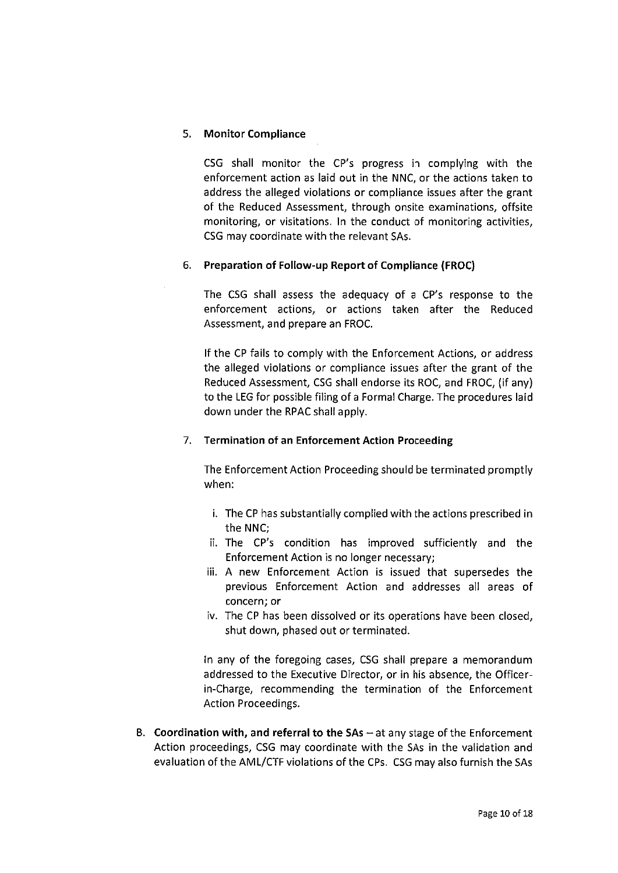# 5. Monitor Compliance

CSG shall monitor the CP's progress in complying with the enforcement action as laid out in the NNC, or the actions taken to address the alleged violations or compliance issues after the grant of the Reduced Assessment, through onsite examinations, offsite monitoring, or visitations. In the conduct of monitoring activities, CSG may coordinate with the relevant SAS.

# 6. Preparation of Follow-up Report of Compliance (FROC)

The CSG shall assess the adequacy of a CP's response to the enforcement actions, or actions taken after the Reduced Assessment, and prepare an FROC,

If the CP fails to comply with the Enforcement Actions, or address the alleged violations or compliance issues after the grant of the Reduced Assessment, CSG shall endorse its Roc, and FROC, (if any) to the LEG for possible filing of a Formal Charge. The procedures laid down under the RPAC shall apply.

# 7. Termination of an Enforcement Action Proceeding

The Enforcement Action Proceeding should be terminated promptly when:

- i. The CP has substantially complied with the actions prescribed in the NNC;
- ii. The CP's condition has improved sufficiently and the Enforcement Action is no longer necessary;
- iii. A new Enforcement Action is issued that supersedes the previous Enforcement Action and addresses all areas of concern; or
- iv. The CP has been dissolved or its operations have been closed, shut down, phased out or terminated.

In any of the foregoing cases, CSG shall prepare a memorandum addressed to the Executive Director, or in his absence, the Officerin-Charge, recommending the termination of the Enforcement Action Proceedings.

B. Coordination with, and referral to the  $SAs - at$  any stage of the Enforcement Action proceedings, CSG may coordinate with the SAS in the validation and evaluation of the AML/CTF violations of the CPS. CSG may also furnish the SAS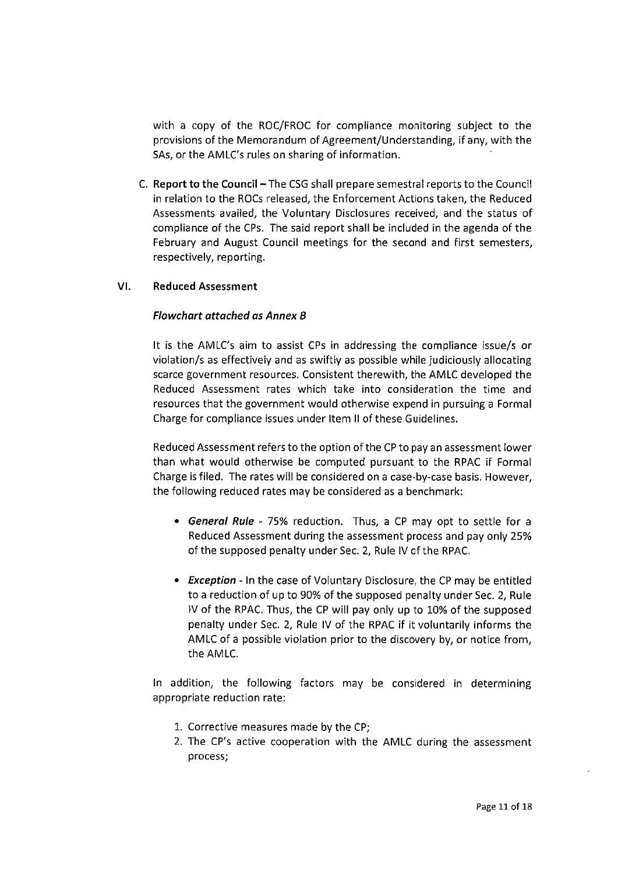with a copy of the Roc/FROC for compliance monitoring subject to the provisions of the Memora ridum of Agreement/Understanding, if any, with the SAS, or the AMLC's rules on sharing of information.

C. Report to the Council - The CSG shall prepare semestral reports to the Council in relation to the Rocs released, the Enforcement Actions taken, the Reduced Assessments availed, the Voluntary Disclosures received, and the status of compliance of the CPS. The said report shall be included in the agenda of the February and August Council meetings for the second and first semesters, respectively, reporting.

#### Vl. Reduced Assessment

#### Flowchart attached as Annex B

It is the AMLC's aim to assist CPS in addressing the compliance issue/s or violation/s as effectively and as swiftly as possible while judiciously allocating scarce government resources. Consistent therewith, the AMLC developed the Reduced Assessment rates which take into consideration the time and resources that the government would otherwise expend in pursuing a Formal Charge for compliance issues under Item 11 of these Guidelines.

Reduced Assessment refers to the option of the CP to pay an assessment lower than what would otherwise be computed pursuant to the RPAC if Formal Charge is filed. The rates will be considered on a case-by-case basis. However, the following reduced rates may be considered as a benchmark:

- . General Rule 75% reduction. Thus, a CP may opt to settle for a Reduced Assessment during the assessment process and pay only 25% of the supposed penalty under Sec. 2, Rule IV of the RPAC.
- Exception In the case of Voluntary Disclosure, the CP may be entitled to a reduction of up to 90% of the supposed penalty under Sec. 2, Rule N of the RPAC. Thus, the CP will pay only up to 10% of the supposed penalty under Sec. 2, Rule IV of the RPAC if it voluntarily informs the AMLC of a possible violation prior to the discovery by, or notice from, the AMLC.

In addition, the following factors may be considered in determining appropriate reduction rate:

- I. Corrective measures made by the CP;
- 2. The CP's active cooperation with the AMLC during the assessment process;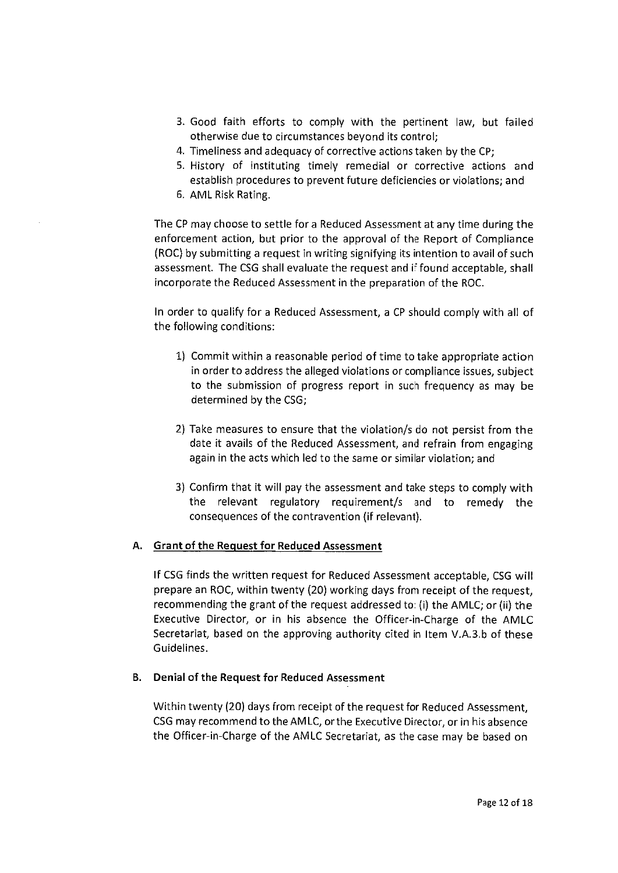- 3, Good faith efforts to comply with the pertinent law, but failed otherwise due to circumstances beyond its control;
- 4. Timeliness and adequacy of corrective actions taken by the CP;
- 5. History of instituting timely remedial or corrective actions and establish procedures to prevent future deficiencies or violations; and
- 6. AML Risk Rating

The CP may choose to settle for a Reduced Assessment at any time during the enforcement action, but prior to the approval of the Report of Compliance (Roc) by submitting a request in writing signifying its intention to avail of such assessment. The CSG shall evaluate the request and if found acceptable, shall incorporate the Reduced Assessment in the preparation of the Roc.

In order to qualify for a Reduced Assessment, a CP should comply with all of the following conditions:

- I) Commit within a reasonable period of time to take appropriate action in order to address the alleged violations or compliance issues, subject to the submission of progress report in such frequency as may be determined by the CSG;
- 2) Take measures to ensure that the violation/s do not persist from the date it avails of the Reduced Assessment, and refrain from engaging again in the acts which led to the same or similar violation; and
- 3) Confirm that it will pay the assessment and take steps to comply with the relevant regulatory requirement/s and to remedy the consequences of the contravention (if relevant).

# A. Grant of the Request for Reduced Assessment

If CSG finds the written request for Reduced Assessment acceptable, CSG will prepare an Roc, within twenty (20) working days from receipt of the request, recommending the grant of the request addressed to: (i) the AMLC; or (ii) the Executive Director, or in his absence the Officer-in-Charge of the AMLC Secretariat, based on the approving authority cited in Item V.A.3.b of these Guidelines.

#### B. Denial of the Request for Reduced Assessment

Within twenty (20) days from receipt of the request for Reduced Assessment, CSG may recommend to the AM LC, or the Executive Director, or in his absence the Officerin-Charge of the AMLC Secretariat, as the case may be based on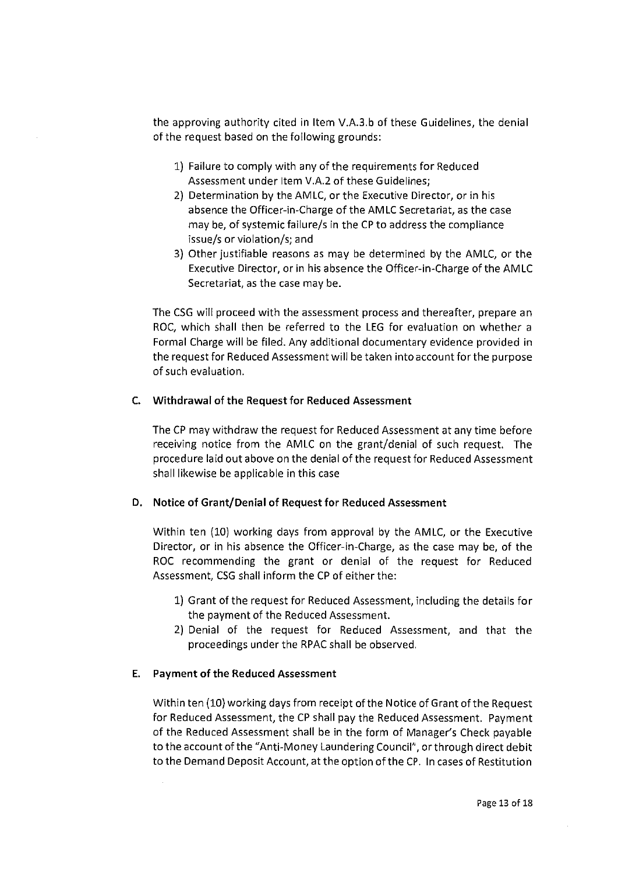the approving authority cited in Item V.A.3.b of these Guidelines, the denial of the request based on the following grounds:

- I) Failure to comply with any of the requirements for Reduced Assessment under Item V.A.2 of these Guidelines;
- 2) Determination by the AMLC, or the Executive Director, or in his absence the Officer-in-Charge of the AMLC Secretariat, as the case may be, of systemic failure/s in the CP to address the compliance issue/s or violation/s; and
- 3) Other justifiable reasons as may be determined by the AMLC, or the Executive Director, or in his absence the Officer-in-Charge of the AMLC Secretariat, as the case may be.

The CSG will proceed with the assessment process and thereafter, prepare an Roc, which shall then be referred to the LEG for evaluation on whether a Formal Charge will be filed. Any additional documentary evidence provided in the request for Reduced Assessment will be taken into account for the purpose of such evaluation.

#### C, Withdrawal of the Request for Reduced Assessment

The CP may withdraw the request for Reduced Assessment at any time before receiving notice from the AMLC on the grant/denial of such request. The procedure laid out above on the denial of the request for Reduced Assessment shall likewise be applicable in this case

#### D, Notice of Grant/Denial of Request for Reduced Assessment

Within ten (10) working days from approval by the AMLC, or the Executive Director, or in his absence the Officer in-Charge, as the case may be, of the Roc recommending the grant or denial of the request for Reduced Assessment, CSG shall inform the CP of either the:

- I) Grant of the request for Reduced Assessment, including the details for the payment of the Reduced Assessment.
- 2) Denial of the request for Reduced Assessment, and that the proceedings under the RPAC shall be observed.

#### E. Payment of the Reduced Assessment

Within ten (10) working days from receipt of the Notice of Grant of the Request for Reduced Assessment, the CP shall pay the Reduced Assessment. Payment of the Reduced Assessment shall be in the form of Manager's Check payable to the account of the "Anti-Money Laundering Council", or through direct debit to the Demand Deposit Account, at the option of the CP, In cases of Restitution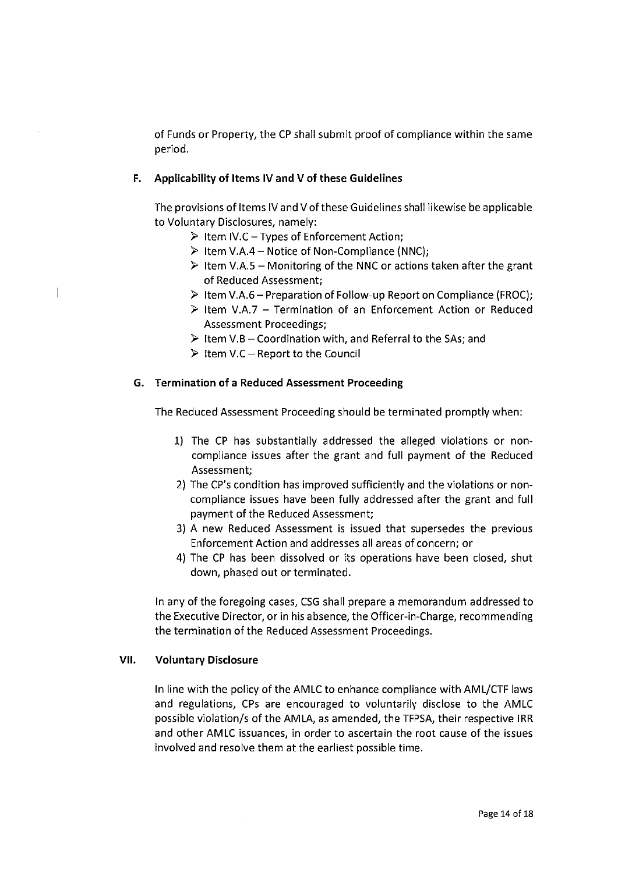of Funds or Property, the CP shall submit proof of compliance within the same period.

#### F. Applicability of Items IV and V of these Guidelines

The provisions of Items IV and V of these Guidelines shall likewise be applicable to Voluntary Disclosures, namely:

- $\triangleright$  Item IV.C Types of Enforcement Action;
- $\triangleright$  Item V.A.4 Notice of Non-Compliance (NNC);
- $\triangleright$  Item V.A.5 Monitoring of the NNC or actions taken after the grant of Reduced Assessment;
- > Item V. A. 6 Preparation of Follow-up Report on Compliance (FROC);
- $\triangleright$  Item V.A.7 Termination of an Enforcement Action or Reduced Assessment Proceedings;
- $\triangleright$  Item V.B Coordination with, and Referral to the SAs; and
- $\triangleright$  Item V.C Report to the Council

#### G. Termination of a Reduced Assessment Proceeding

The Reduced Assessment Proceeding should be terminated promptly when:

- I) The CP has substantially addressed the alleged violations or noncompliance issues after the grant and full payment of the Reduced Assessment;
- 2) The CP's condition has improved sufficiently and the violations or noncompliance issues have been fully addressed after the grant and full payment of the Reduced Assessment;
- 3) A new Reduced Assessment is issued that supersedes the previous Enforcement Action and addresses all areas of concern; or
- 4) The CP has been dissolved or its operations have been closed, shut down, phased out or terminated.

In any of the foregoing cases, CSG shall prepare a memorandum addressed to the Executive Director, or in his absence, the Officer-in-Charge, recommending the termination of the Reduced Assessment Proceedings.

#### Vll. Voluntary Disclosure

 $\mathbf{1}$ 

In line with the policy of the AMLC to enhance compliance with AML/CTF laws and regulations, CPS are encouraged to voluntarily disclose to the AMLC possible violation/s of the AMLA, as amended, the TFPSA, their respective IRR and other AMLC issuances, in order to ascertain the root cause of the issues involved and resolve them at the earliest possible time.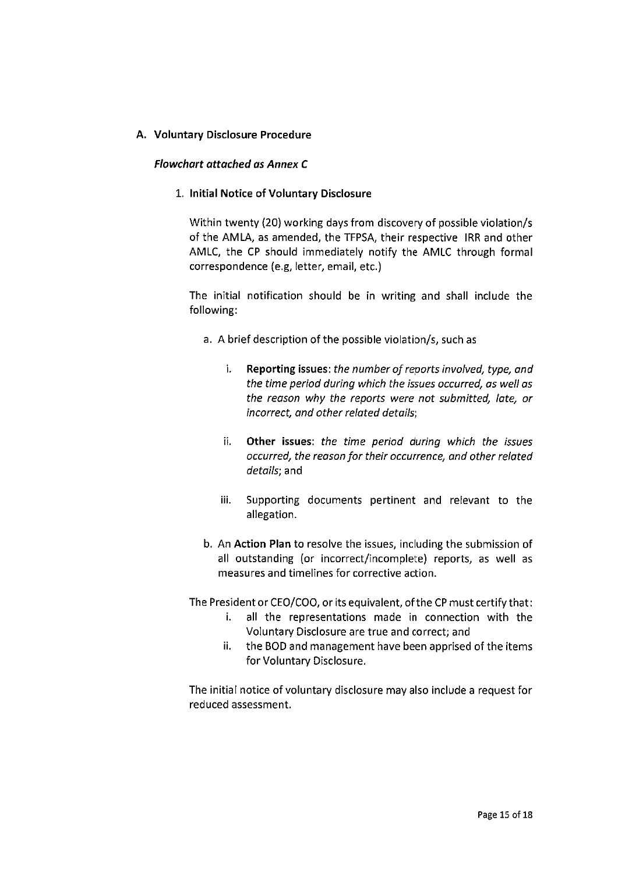# A. Voluntary Disclosure Procedure

#### Flowchart attached as Annex C

#### I. Initial Notice of Voluntary Disclosure

Within twenty (20) working days from discovery of possible violation/s of the AMLA, as amended, the TFPSA, their respective IRR and other AMLC, the CP should immediately notify the AMLC through formal correspondence (e.g, letter, email, etc.)

The initial notification should be in writing and shall include the following:

- a. A brief description of the possible violation/s, such as
	- i. Reporting issues: the number of reports involved, type, and the time period during which the issues occurred, as well as the reason why the reports were not submitted, late, or incorrect, and other related details;
	- ii. Other issues: the time period during which the issues occurred, the reason for their occurrence, and other related details; and
	- iii. Supporting documents pertinent and relevant to the allegation.
- b. An Action Plan to resolve the issues, including the submission of all outstanding (or incorrect/incomplete) reports, as well as measures and timelines for corrective action.

The President or CEO/COO, or its equivalent, of the CP must certify that:

- i. all the representations made in connection with the Voluntary Disclosure are true and correct; and
- ii. the BOD and management have been apprised of the items for Voluntary Disclosure.

The initial notice of voluntary disclosure may also include a request for reduced assessment.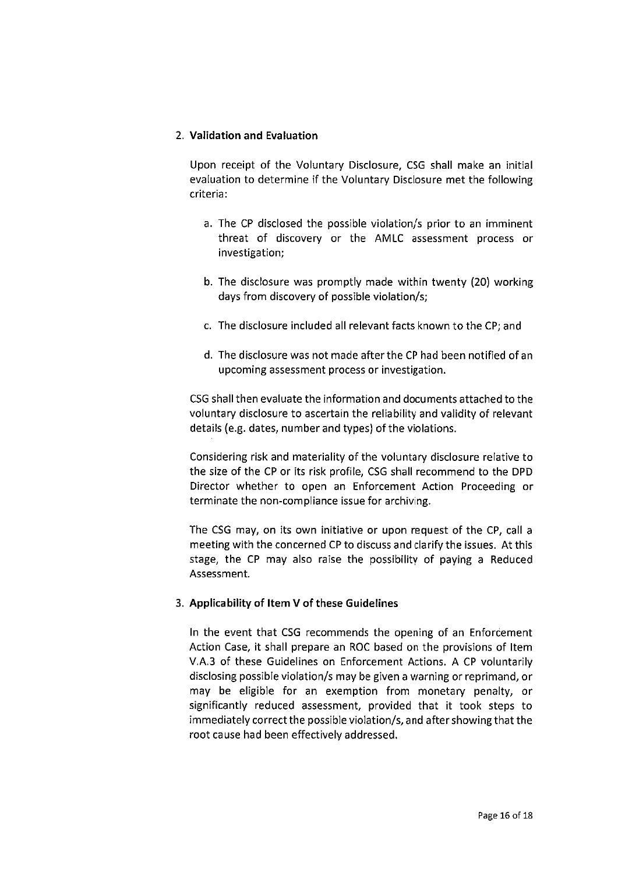### 2. Validation and Evaluation

Upon receipt of the Voluntary Disclosure, CSG shall make an initial evaluation to determine if the Voluntary Disclosure met the following criteria :

- a. The CP disclosed the possible violation/s prior to an imminent threat of discovery or the AMLC assessment process or investigation;
- b. The disclosure was promptly made within twenty (20) working days from discovery of possible violation/s;
- c. The disclosure included all relevant facts known to the CP; and
- d. The disclosure was not made after the CP had been notified of an upcoming assessment process or investigation.

CSG shall then evaluate the information and documents attached to the voluntary disclosure to ascertain the reliability and validity of relevant details (e.g. dates, number and types) of the violations.

Considering risk and materiality of the voluntary disclosure relative to the size of the CP or its risk profile, CSG shall recommend to the DPD Director whether to open an Enforcement Action Proceeding or terminate the non-compliance issue for archiving.

The CSG may, on its own initiative or upon request of the CP, call a meeting with the concerned CP to discuss and clarify the issues. At this stage, the CP may also raise the possibility of paying a Reduced Assessment.

# 3. Applicability of Item V of these Guidelines

In the event that CSG recommends the opening of an Enforcement Action Case, it shall prepare an Roc based on the provisions of Item V. A. 3 of these Guidelines on Enforcement Actions. A CP voluntarily disclosing possible violation/s may be given a warning or reprimand, or may be eligible for an exemption from monetary penalty, or significantly reduced assessment, provided that it took steps to immediately correct the possible violation/s, and after showing that the root cause had been effectiveIy addressed.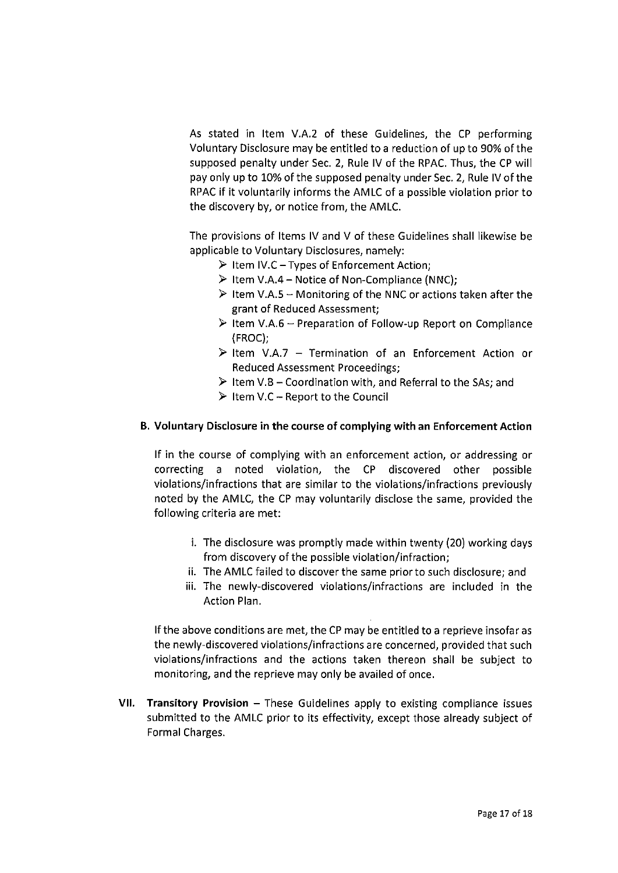As stated in Item V.A.2 of these Guidelines, the CP performing Voluntary Disclosure may be entitled to a reduction of up to 90% of the supposed penalty under Sec. 2, Rule IV of the RPAC. Thus, the CP will pay only up to 10% of the supposed penalty under Sec. 2, Rule IV of the RPAC if it voluntarily informs the AMLC of a possible violation prior to the discovery by, or notice from, the AMLC.

The provisions of Items IV and V of these Guidelines shall likewise be applicable to Voluntary Disclosures, namely:

- $\triangleright$  Item IV.C Types of Enforcement Action;
- $\triangleright$  Item V.A.4 Notice of Non-Compliance (NNC);
- $\triangleright$  Item V.A.5 Monitoring of the NNC or actions taken after the grant of Reduced Assessment;
- $\triangleright$  Item V.A.6 Preparation of Follow-up Report on Compliance (FROC);
- $\triangleright$  Item V.A.7 Termination of an Enforcement Action or Reduced Assessment Proceedings;
- $\triangleright$  Item V.B Coordination with, and Referral to the SAs; and
- $\triangleright$  Item V.C Report to the Council

# B. Voluntary Disclosure in the course of complying with an Enforcement Action

If in the course of complying with an enforcement action, or addressing or correcting a noted violation, the CP discovered other possible violations/infractions that are similar to the violations/infractions previously noted by the AMLC, the CP may voluntarily disclose the same, provided the following criteria are met:

- i, The disclosure was promptly made within twenty (20) working days from discovery of the possible violation/infraction;
- ii. The AMLC failed to discover the same prior to such disclosure; and
- iii. The newly-discovered violations/infractions are included in the Action Plan.

If the above conditions are met, the CP may be entitled to a reprieve insofar as the newly-discovered violations/infractions are concerned, provided that such violations/infractions and the actions taken thereon shall be subject to monitoring, and the reprieve may only be availed of once.

VII. Transitory Provision – These Guidelines apply to existing compliance issues submitted to the AMLC prior to its effectivity, except those already subject of Formal Charges.